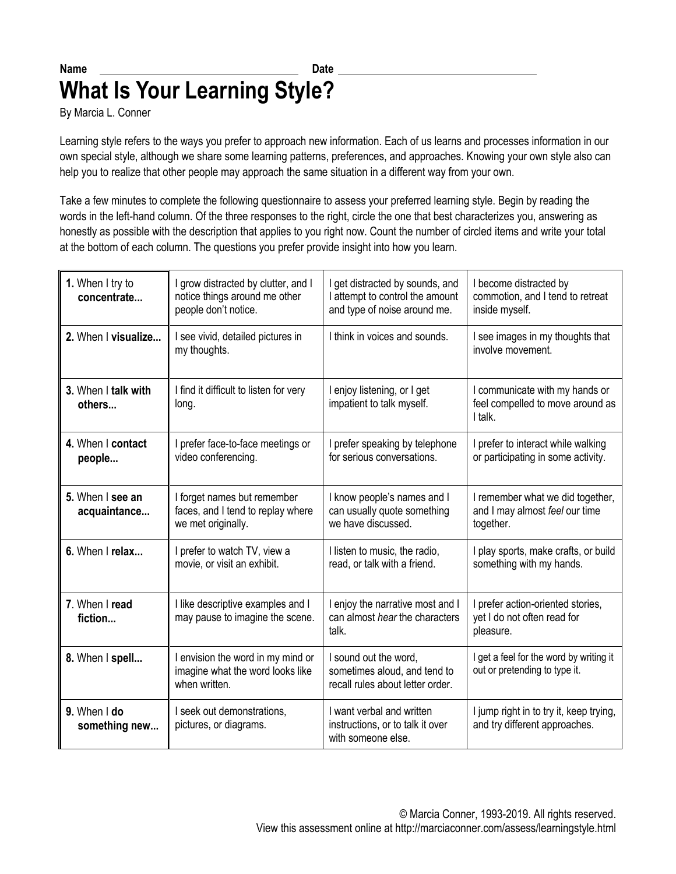## Name **Date** Date **What Is Your Learning Style?**

By Marcia L. Conner

Learning style refers to the ways you prefer to approach new information. Each of us learns and processes information in our own special style, although we share some learning patterns, preferences, and approaches. Knowing your own style also can help you to realize that other people may approach the same situation in a different way from your own.

Take a few minutes to complete the following questionnaire to assess your preferred learning style. Begin by reading the words in the left-hand column. Of the three responses to the right, circle the one that best characterizes you, answering as honestly as possible with the description that applies to you right now. Count the number of circled items and write your total at the bottom of each column. The questions you prefer provide insight into how you learn.

| 1. When I try to<br>concentrate  | I grow distracted by clutter, and I<br>notice things around me other<br>people don't notice. | I get distracted by sounds, and<br>I attempt to control the amount<br>and type of noise around me. | I become distracted by<br>commotion, and I tend to retreat<br>inside myself.    |
|----------------------------------|----------------------------------------------------------------------------------------------|----------------------------------------------------------------------------------------------------|---------------------------------------------------------------------------------|
| 2. When I visualize              | I see vivid, detailed pictures in<br>my thoughts.                                            | I think in voices and sounds.                                                                      | I see images in my thoughts that<br>involve movement.                           |
| 3. When I talk with<br>others    | I find it difficult to listen for very<br>long.                                              | I enjoy listening, or I get<br>impatient to talk myself.                                           | I communicate with my hands or<br>feel compelled to move around as<br>I talk.   |
| 4. When I contact<br>people      | I prefer face-to-face meetings or<br>video conferencing.                                     | I prefer speaking by telephone<br>for serious conversations.                                       | I prefer to interact while walking<br>or participating in some activity.        |
| 5. When I see an<br>acquaintance | I forget names but remember<br>faces, and I tend to replay where<br>we met originally.       | I know people's names and I<br>can usually quote something<br>we have discussed.                   | I remember what we did together,<br>and I may almost feel our time<br>together. |
| 6. When I relax                  | I prefer to watch TV, view a<br>movie, or visit an exhibit.                                  | I listen to music, the radio,<br>read, or talk with a friend.                                      | I play sports, make crafts, or build<br>something with my hands.                |
| 7. When I read<br>fiction        | I like descriptive examples and I<br>may pause to imagine the scene.                         | I enjoy the narrative most and I<br>can almost hear the characters<br>talk.                        | I prefer action-oriented stories,<br>yet I do not often read for<br>pleasure.   |
| 8. When I spell                  | I envision the word in my mind or<br>imagine what the word looks like<br>when written.       | I sound out the word,<br>sometimes aloud, and tend to<br>recall rules about letter order.          | I get a feel for the word by writing it<br>out or pretending to type it.        |
| 9. When I do<br>something new    | I seek out demonstrations,<br>pictures, or diagrams.                                         | I want verbal and written<br>instructions, or to talk it over<br>with someone else.                | I jump right in to try it, keep trying,<br>and try different approaches.        |